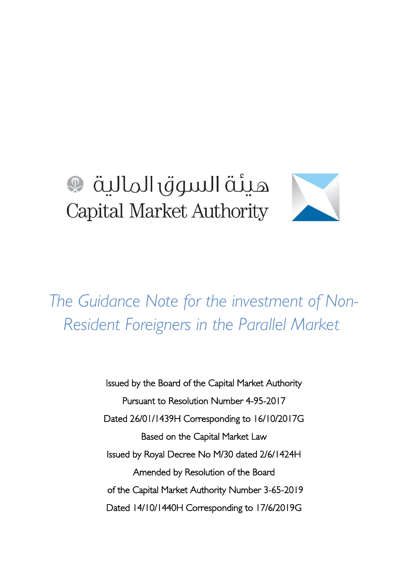# هيئة السوق المالية  $\mathbb{Q}$ Capital Market Authority

*The Guidance Note for the investment of Non-Resident Foreigners in the Parallel Market* 

> Issued by the Board of the Capital Market Authority Pursuant to Resolution Number 4-95-2017 Dated 72/01/1439H Corresponding to 16/10/2017G Based on the Capital Market Law Issued by Royal Decree No M/30 dated 2/6/1424H Amended by Resolution of the Board of the Capital Market Authority Number 3-65-2019 Dated 14/10/1440H Corresponding to 17/6/2019G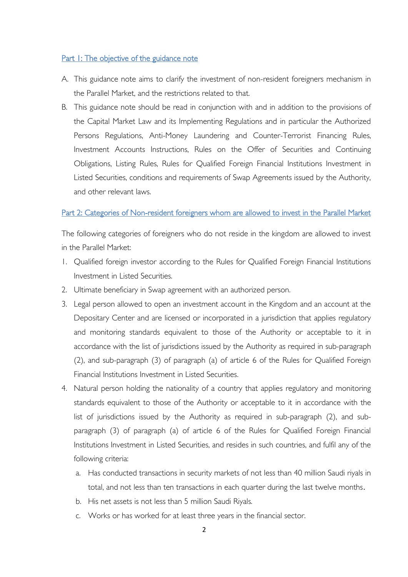#### Part 1: The objective of the guidance note

- A. This guidance note aims to clarify the investment of non-resident foreigners mechanism in the Parallel Market, and the restrictions related to that.
- B. This guidance note should be read in conjunction with and in addition to the provisions of the Capital Market Law and its Implementing Regulations and in particular the Authorized Persons Regulations, Anti-Money Laundering and Counter-Terrorist Financing Rules, Investment Accounts Instructions, Rules on the Offer of Securities and Continuing Obligations, Listing Rules, Rules for Qualified Foreign Financial Institutions Investment in Listed Securities, conditions and requirements of Swap Agreements issued by the Authority, and other relevant laws.

#### Part 2: Categories of Non-resident foreigners whom are allowed to invest in the Parallel Market

The following categories of foreigners who do not reside in the kingdom are allowed to invest in the Parallel Market:

- 1. Qualified foreign investor according to the Rules for Qualified Foreign Financial Institutions Investment in Listed Securities.
- 2. Ultimate beneficiary in Swap agreement with an authorized person.
- 3. Legal person allowed to open an investment account in the Kingdom and an account at the Depositary Center and are licensed or incorporated in a jurisdiction that applies regulatory and monitoring standards equivalent to those of the Authority or acceptable to it in accordance with the list of jurisdictions issued by the Authority as required in sub-paragraph (2), and sub-paragraph (3) of paragraph (a) of article 6 of the Rules for Qualified Foreign Financial Institutions Investment in Listed Securities.
- 4. Natural person holding the nationality of a country that applies regulatory and monitoring standards equivalent to those of the Authority or acceptable to it in accordance with the list of jurisdictions issued by the Authority as required in sub-paragraph (2), and subparagraph (3) of paragraph (a) of article 6 of the Rules for Qualified Foreign Financial Institutions Investment in Listed Securities, and resides in such countries, and fulfil any of the following criteria:
	- a. Has conducted transactions in security markets of not less than 40 million Saudi riyals in total, and not less than ten transactions in each quarter during the last twelve months.
	- b. His net assets is not less than 5 million Saudi Riyals.
	- c. Works or has worked for at least three years in the financial sector.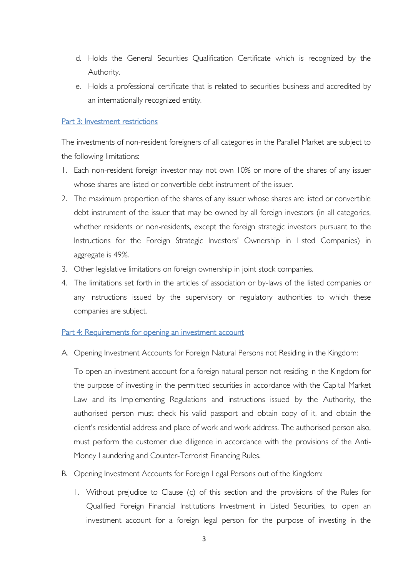- d. Holds the General Securities Qualification Certificate which is recognized by the Authority.
- e. Holds a professional certificate that is related to securities business and accredited by an internationally recognized entity.

### Part 3: Investment restrictions

The investments of non-resident foreigners of all categories in the Parallel Market are subject to the following limitations:

- 1. Each non-resident foreign investor may not own 10% or more of the shares of any issuer whose shares are listed or convertible debt instrument of the issuer.
- 2. The maximum proportion of the shares of any issuer whose shares are listed or convertible debt instrument of the issuer that may be owned by all foreign investors (in all categories, whether residents or non-residents, except the foreign strategic investors pursuant to the Instructions for the Foreign Strategic Investors' Ownership in Listed Companies) in aggregate is 49%.
- 3. Other legislative limitations on foreign ownership in joint stock companies.
- 4. The limitations set forth in the articles of association or by-laws of the listed companies or any instructions issued by the supervisory or regulatory authorities to which these companies are subject.

#### Part 4: Requirements for opening an investment account

A. Opening Investment Accounts for Foreign Natural Persons not Residing in the Kingdom:

To open an investment account for a foreign natural person not residing in the Kingdom for the purpose of investing in the permitted securities in accordance with the Capital Market Law and its Implementing Regulations and instructions issued by the Authority, the authorised person must check his valid passport and obtain copy of it, and obtain the client's residential address and place of work and work address. The authorised person also, must perform the customer due diligence in accordance with the provisions of the Anti-Money Laundering and Counter-Terrorist Financing Rules.

- B. Opening Investment Accounts for Foreign Legal Persons out of the Kingdom:
	- 1. Without prejudice to Clause (c) of this section and the provisions of the Rules for Qualified Foreign Financial Institutions Investment in Listed Securities, to open an investment account for a foreign legal person for the purpose of investing in the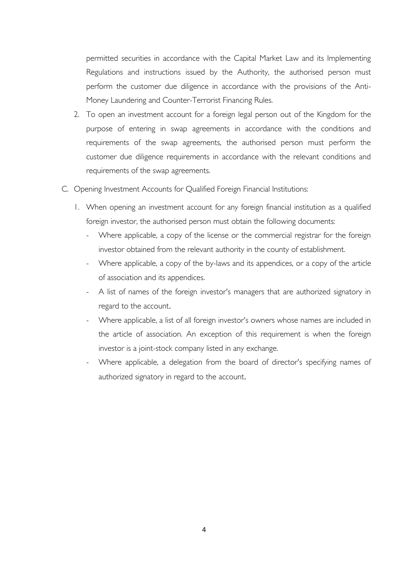permitted securities in accordance with the Capital Market Law and its Implementing Regulations and instructions issued by the Authority, the authorised person must perform the customer due diligence in accordance with the provisions of the Anti-Money Laundering and Counter-Terrorist Financing Rules.

- 2. To open an investment account for a foreign legal person out of the Kingdom for the purpose of entering in swap agreements in accordance with the conditions and requirements of the swap agreements, the authorised person must perform the customer due diligence requirements in accordance with the relevant conditions and requirements of the swap agreements.
- C. Opening Investment Accounts for Qualified Foreign Financial Institutions:
	- 1. When opening an investment account for any foreign financial institution as a qualified foreign investor, the authorised person must obtain the following documents:
		- Where applicable, a copy of the license or the commercial registrar for the foreign investor obtained from the relevant authority in the county of establishment.
		- Where applicable, a copy of the by-laws and its appendices, or a copy of the article of association and its appendices.
		- A list of names of the foreign investor's managers that are authorized signatory in regard to the account.
		- Where applicable, a list of all foreign investor's owners whose names are included in the article of association. An exception of this requirement is when the foreign investor is a joint-stock company listed in any exchange.
		- Where applicable, a delegation from the board of director's specifying names of authorized signatory in regard to the account.